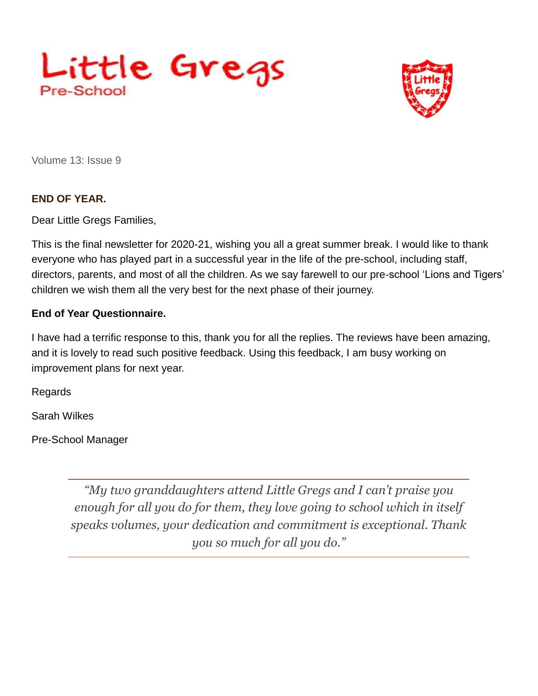



Volume 13: Issue 9

## **END OF YEAR.**

Dear Little Gregs Families,

This is the final newsletter for 2020-21, wishing you all a great summer break. I would like to thank everyone who has played part in a successful year in the life of the pre-school, including staff, directors, parents, and most of all the children. As we say farewell to our pre-school 'Lions and Tigers' children we wish them all the very best for the next phase of their journey.

## **End of Year Questionnaire.**

I have had a terrific response to this, thank you for all the replies. The reviews have been amazing, and it is lovely to read such positive feedback. Using this feedback, I am busy working on improvement plans for next year.

**Regards** 

Sarah Wilkes

Pre-School Manager

*"My two granddaughters attend Little Gregs and I can't praise you enough for all you do for them, they love going to school which in itself speaks volumes, your dedication and commitment is exceptional. Thank you so much for all you do."*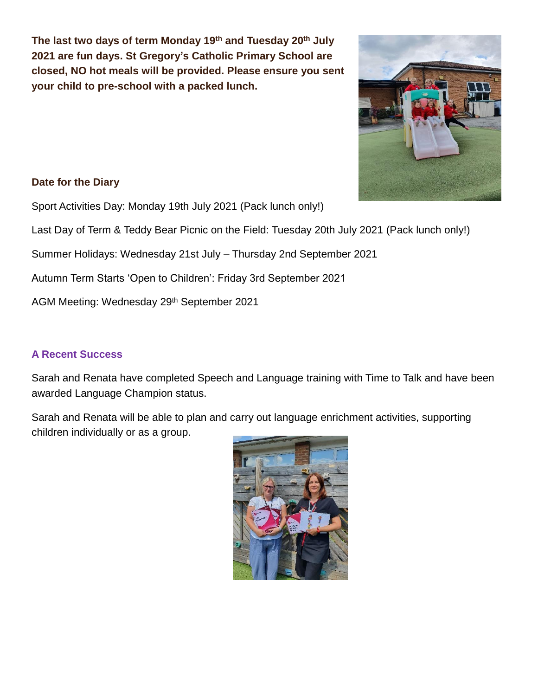**The last two days of term Monday 19th and Tuesday 20th July 2021 are fun days. St Gregory's Catholic Primary School are closed, NO hot meals will be provided. Please ensure you sent your child to pre-school with a packed lunch.**



## **Date for the Diary**

Sport Activities Day: Monday 19th July 2021 (Pack lunch only!)

Last Day of Term & Teddy Bear Picnic on the Field: Tuesday 20th July 2021 (Pack lunch only!)

Summer Holidays: Wednesday 21st July – Thursday 2nd September 2021

Autumn Term Starts 'Open to Children': Friday 3rd September 2021

AGM Meeting: Wednesday 29th September 2021

## **A Recent Success**

Sarah and Renata have completed Speech and Language training with Time to Talk and have been awarded Language Champion status.

Sarah and Renata will be able to plan and carry out language enrichment activities, supporting children individually or as a group.

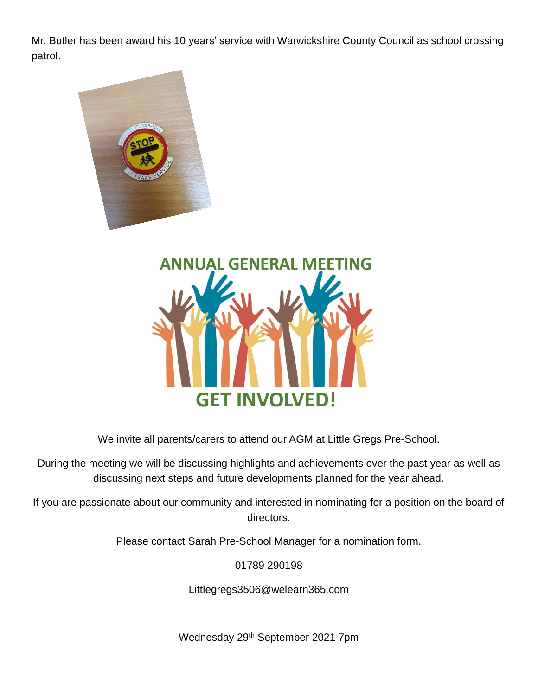Mr. Butler has been award his 10 years' service with Warwickshire County Council as school crossing patrol.





We invite all parents/carers to attend our AGM at Little Gregs Pre-School.

During the meeting we will be discussing highlights and achievements over the past year as well as discussing next steps and future developments planned for the year ahead.

If you are passionate about our community and interested in nominating for a position on the board of directors.

Please contact Sarah Pre-School Manager for a nomination form.

01789 290198

Littlegregs3506@welearn365.com

Wednesday 29th September 2021 7pm